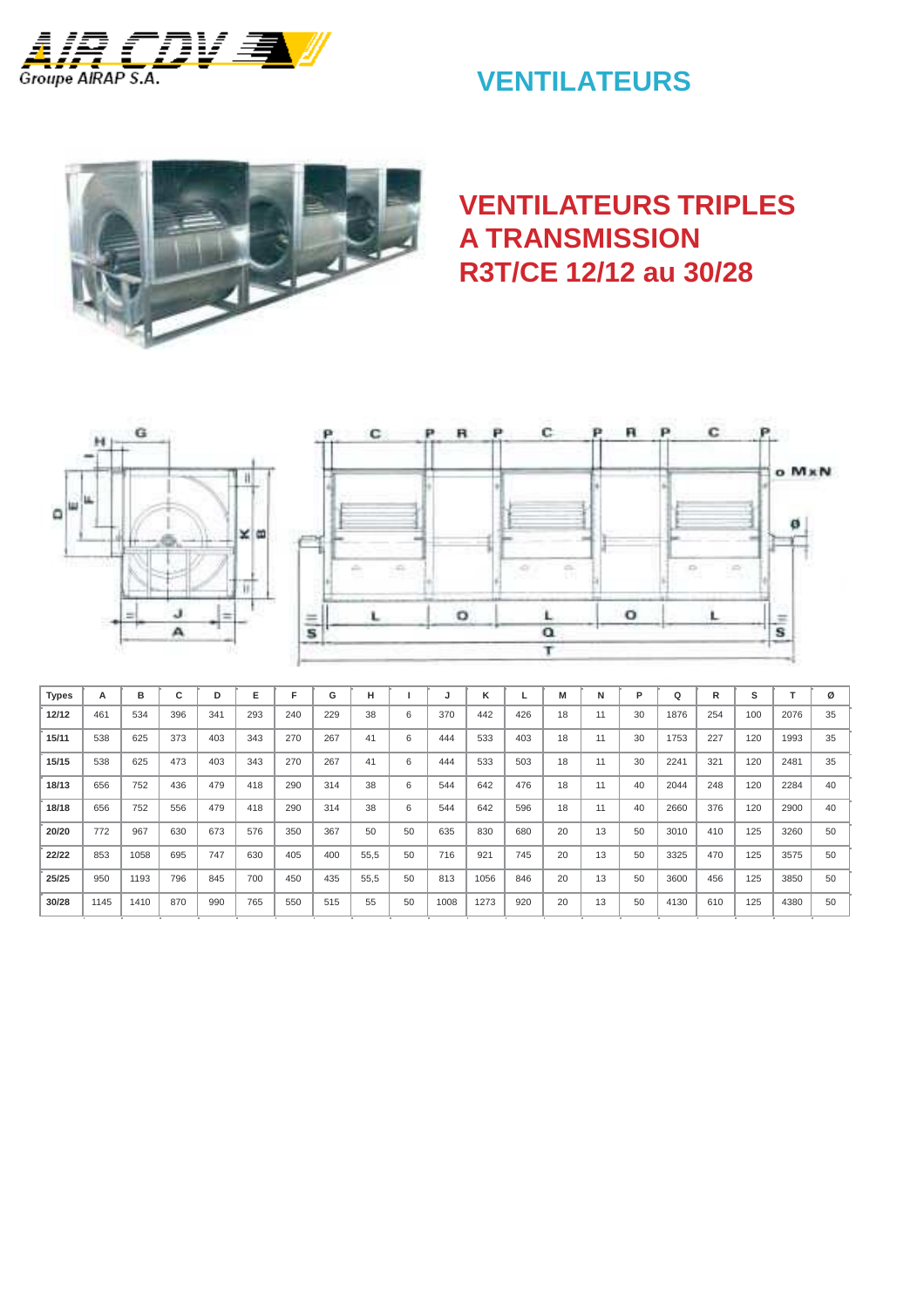

# **VENTILATEURS**



## **VENTILATEURS TRIPLES A TRANSMISSION R3T/CE 12/12 au 30/28**





| <b>Types</b> | А    | в    | $\overline{\phantom{0}}$<br>U | D   | Е   | F   | G   | н    |    | J    | κ    |     | M  | N  | P  | Q    | R   | s   |      | ø  |
|--------------|------|------|-------------------------------|-----|-----|-----|-----|------|----|------|------|-----|----|----|----|------|-----|-----|------|----|
| 12/12        | 461  | 534  | 396                           | 341 | 293 | 240 | 229 | 38   | 6  | 370  | 442  | 426 | 18 | 11 | 30 | 1876 | 254 | 100 | 2076 | 35 |
| 15/11        | 538  | 625  | 373                           | 403 | 343 | 270 | 267 | 41   | 6  | 444  | 533  | 403 | 18 | 11 | 30 | 1753 | 227 | 120 | 1993 | 35 |
| 15/15        | 538  | 625  | 473                           | 403 | 343 | 270 | 267 | 41   | 6  | 444  | 533  | 503 | 18 | 11 | 30 | 2241 | 321 | 120 | 2481 | 35 |
| 18/13        | 656  | 752  | 436                           | 479 | 418 | 290 | 314 | 38   | 6  | 544  | 642  | 476 | 18 | 11 | 40 | 2044 | 248 | 120 | 2284 | 40 |
| 18/18        | 656  | 752  | 556                           | 479 | 418 | 290 | 314 | 38   | 6  | 544  | 642  | 596 | 18 | 11 | 40 | 2660 | 376 | 120 | 2900 | 40 |
| 20/20        | 772  | 967  | 630                           | 673 | 576 | 350 | 367 | 50   | 50 | 635  | 830  | 680 | 20 | 13 | 50 | 3010 | 410 | 125 | 3260 | 50 |
| 22/22        | 853  | 1058 | 695                           | 747 | 630 | 405 | 400 | 55,5 | 50 | 716  | 921  | 745 | 20 | 13 | 50 | 3325 | 470 | 125 | 3575 | 50 |
| 25/25        | 950  | 1193 | 796                           | 845 | 700 | 450 | 435 | 55,5 | 50 | 813  | 1056 | 846 | 20 | 13 | 50 | 3600 | 456 | 125 | 3850 | 50 |
| 30/28        | 1145 | 1410 | 870                           | 990 | 765 | 550 | 515 | 55   | 50 | 1008 | 1273 | 920 | 20 | 13 | 50 | 4130 | 610 | 125 | 4380 | 50 |